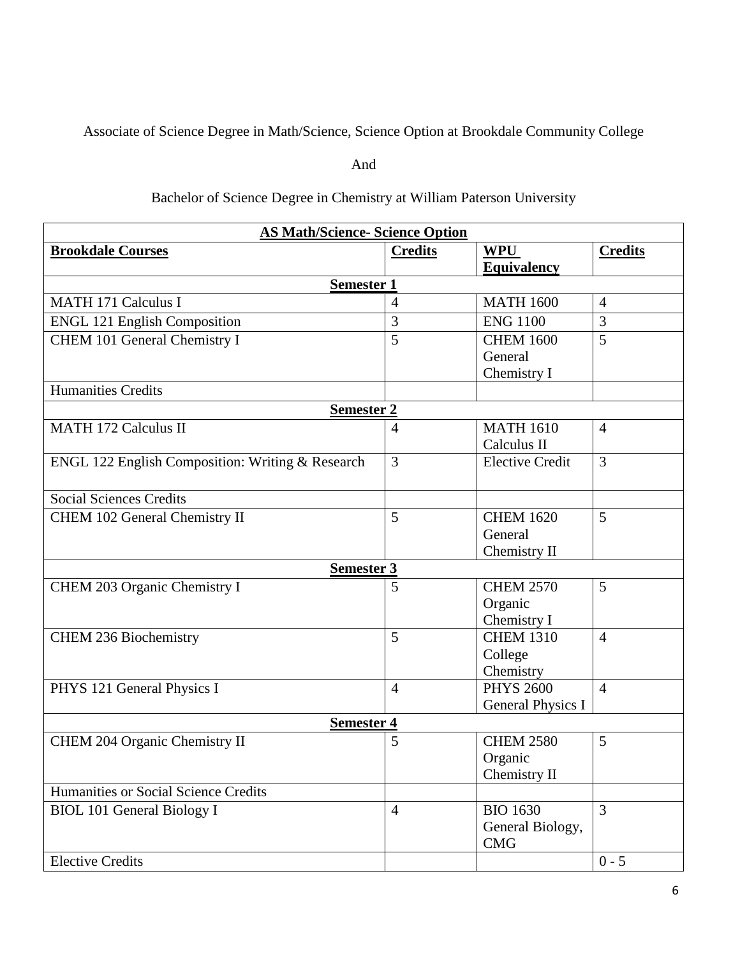Associate of Science Degree in Math/Science, Science Option at Brookdale Community College

And

## Bachelor of Science Degree in Chemistry at William Paterson University

| <b>AS Math/Science- Science Option</b>           |                |                                |                |  |  |
|--------------------------------------------------|----------------|--------------------------------|----------------|--|--|
| <b>Brookdale Courses</b>                         | <b>Credits</b> | <b>WPU</b>                     | <b>Credits</b> |  |  |
|                                                  |                | <b>Equivalency</b>             |                |  |  |
| <b>Semester 1</b>                                |                |                                |                |  |  |
| <b>MATH 171 Calculus I</b>                       | $\overline{4}$ | <b>MATH 1600</b>               | $\overline{4}$ |  |  |
| <b>ENGL 121 English Composition</b>              | $\overline{3}$ | <b>ENG 1100</b>                | 3              |  |  |
| CHEM 101 General Chemistry I                     | 5              | <b>CHEM 1600</b>               | 5              |  |  |
|                                                  |                | General                        |                |  |  |
|                                                  |                | Chemistry I                    |                |  |  |
| <b>Humanities Credits</b>                        |                |                                |                |  |  |
| <u>Semester 2</u>                                |                |                                |                |  |  |
| <b>MATH 172 Calculus II</b>                      | 4              | <b>MATH 1610</b>               | $\overline{4}$ |  |  |
|                                                  |                | Calculus II                    |                |  |  |
| ENGL 122 English Composition: Writing & Research | 3              | <b>Elective Credit</b>         | 3              |  |  |
| <b>Social Sciences Credits</b>                   |                |                                |                |  |  |
| CHEM 102 General Chemistry II                    | 5              | <b>CHEM 1620</b>               | 5              |  |  |
|                                                  |                | General                        |                |  |  |
|                                                  |                | Chemistry II                   |                |  |  |
| <b>Semester 3</b>                                |                |                                |                |  |  |
| CHEM 203 Organic Chemistry I                     | 5              | <b>CHEM 2570</b>               | 5              |  |  |
|                                                  |                | Organic                        |                |  |  |
|                                                  |                | Chemistry I                    |                |  |  |
| <b>CHEM 236 Biochemistry</b>                     | 5              | <b>CHEM 1310</b>               | $\overline{4}$ |  |  |
|                                                  |                | College                        |                |  |  |
|                                                  |                | Chemistry                      |                |  |  |
| PHYS 121 General Physics I                       | $\overline{4}$ | <b>PHYS 2600</b>               | $\overline{4}$ |  |  |
|                                                  |                | General Physics I              |                |  |  |
| <b>Semester 4</b>                                |                |                                |                |  |  |
| CHEM 204 Organic Chemistry II                    | 5              | <b>CHEM 2580</b>               | 5              |  |  |
|                                                  |                | Organic                        |                |  |  |
| Humanities or Social Science Credits             |                | Chemistry II                   |                |  |  |
|                                                  |                |                                | 3              |  |  |
| <b>BIOL 101 General Biology I</b>                | $\overline{4}$ | <b>BIO 1630</b>                |                |  |  |
|                                                  |                | General Biology,<br><b>CMG</b> |                |  |  |
| <b>Elective Credits</b>                          |                |                                | $0 - 5$        |  |  |
|                                                  |                |                                |                |  |  |